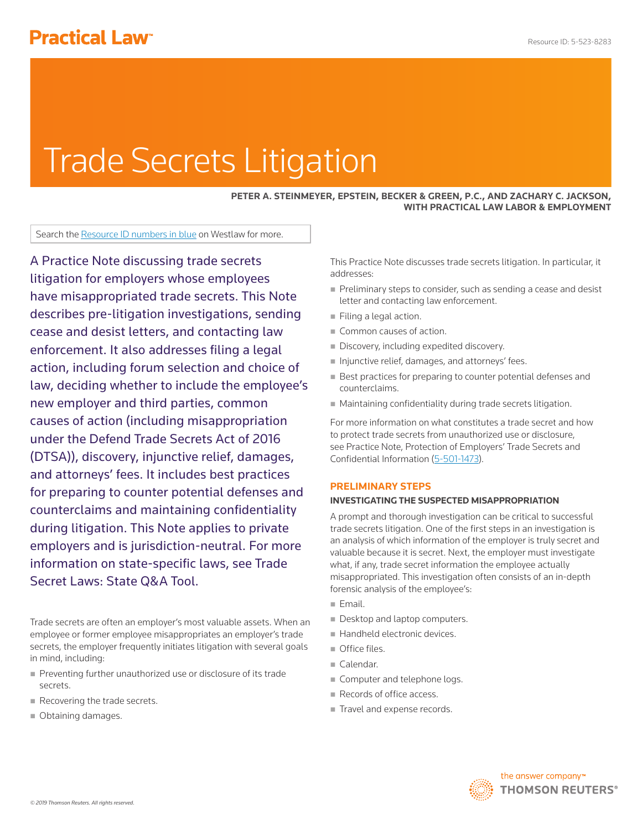# **Practical Law<sup>®</sup>**

# Trade Secrets Litigation

#### **PETER A. STEINMEYER, EPSTEIN, BECKER & GREEN, P.C., AND ZACHARY C. JACKSON, WITH PRACTICAL LAW LABOR & EMPLOYMENT**

Search the Resource ID numbers in blue on Westlaw for more.

A Practice Note discussing trade secrets litigation for employers whose employees have misappropriated trade secrets. This Note describes pre-litigation investigations, sending cease and desist letters, and contacting law enforcement. It also addresses filing a legal action, including forum selection and choice of law, deciding whether to include the employee's new employer and third parties, common causes of action (including misappropriation under the Defend Trade Secrets Act of 2016 (DTSA)), discovery, injunctive relief, damages, and attorneys' fees. It includes best practices for preparing to counter potential defenses and counterclaims and maintaining confidentiality during litigation. This Note applies to private employers and is jurisdiction-neutral. For more information on state-specific laws, see Trade Secret Laws: State Q&A Tool.

Trade secrets are often an employer's most valuable assets. When an employee or former employee misappropriates an employer's trade secrets, the employer frequently initiates litigation with several goals in mind, including:

- Preventing further unauthorized use or disclosure of its trade secrets.
- Recovering the trade secrets.
- Obtaining damages.

This Practice Note discusses trade secrets litigation. In particular, it addresses:

- Preliminary steps to consider, such as sending a cease and desist letter and contacting law enforcement.
- Filing a legal action.
- Common causes of action.
- Discovery, including expedited discovery.
- Injunctive relief, damages, and attorneys' fees.
- Best practices for preparing to counter potential defenses and counterclaims.
- Maintaining confidentiality during trade secrets litigation.

For more information on what constitutes a trade secret and how to protect trade secrets from unauthorized use or disclosure, see Practice Note, Protection of Employers' Trade Secrets and Confidential Information (5-501-1473).

#### **PRELIMINARY STEPS**

#### **INVESTIGATING THE SUSPECTED MISAPPROPRIATION**

A prompt and thorough investigation can be critical to successful trade secrets litigation. One of the first steps in an investigation is an analysis of which information of the employer is truly secret and valuable because it is secret. Next, the employer must investigate what, if any, trade secret information the employee actually misappropriated. This investigation often consists of an in-depth forensic analysis of the employee's:

- $E$ mail.
- Desktop and laptop computers.
- Handheld electronic devices.
- Office files.
- Calendar.
- Computer and telephone logs.
- Records of office access.
- Travel and expense records.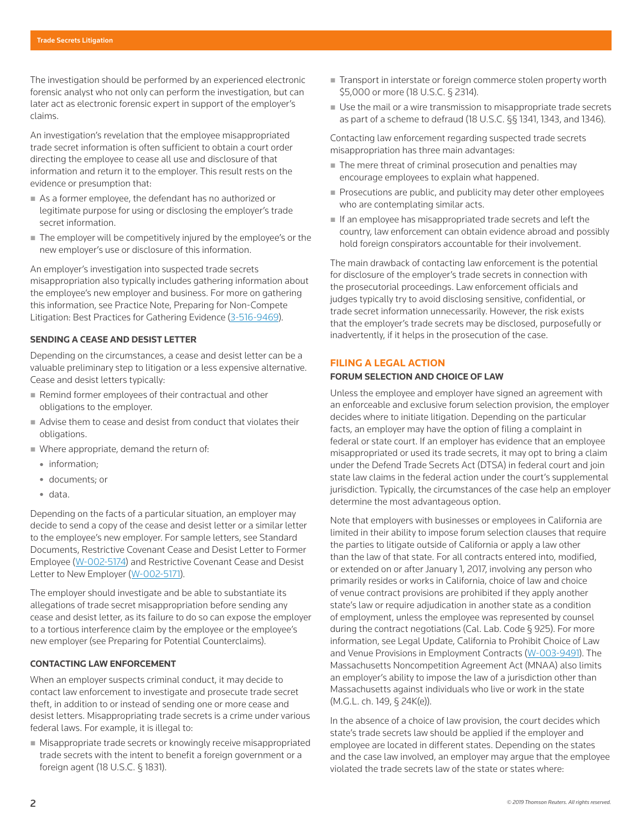The investigation should be performed by an experienced electronic forensic analyst who not only can perform the investigation, but can later act as electronic forensic expert in support of the employer's claims.

An investigation's revelation that the employee misappropriated trade secret information is often sufficient to obtain a court order directing the employee to cease all use and disclosure of that information and return it to the employer. This result rests on the evidence or presumption that:

- As a former employee, the defendant has no authorized or legitimate purpose for using or disclosing the employer's trade secret information.
- The employer will be competitively injured by the employee's or the new employer's use or disclosure of this information.

An employer's investigation into suspected trade secrets misappropriation also typically includes gathering information about the employee's new employer and business. For more on gathering this information, see Practice Note, Preparing for Non-Compete Litigation: Best Practices for Gathering Evidence (3-516-9469).

#### **SENDING A CEASE AND DESIST LETTER**

Depending on the circumstances, a cease and desist letter can be a valuable preliminary step to litigation or a less expensive alternative. Cease and desist letters typically:

- Remind former employees of their contractual and other obligations to the employer.
- Advise them to cease and desist from conduct that violates their obligations.
- Where appropriate, demand the return of:
	- information;
	- documents; or
	- data.

Depending on the facts of a particular situation, an employer may decide to send a copy of the cease and desist letter or a similar letter to the employee's new employer. For sample letters, see Standard Documents, Restrictive Covenant Cease and Desist Letter to Former Employee (W-002-5174) and Restrictive Covenant Cease and Desist Letter to New Employer (W-002-5171).

The employer should investigate and be able to substantiate its allegations of trade secret misappropriation before sending any cease and desist letter, as its failure to do so can expose the employer to a tortious interference claim by the employee or the employee's new employer (see Preparing for Potential Counterclaims).

#### **CONTACTING LAW ENFORCEMENT**

When an employer suspects criminal conduct, it may decide to contact law enforcement to investigate and prosecute trade secret theft, in addition to or instead of sending one or more cease and desist letters. Misappropriating trade secrets is a crime under various federal laws. For example, it is illegal to:

 Misappropriate trade secrets or knowingly receive misappropriated trade secrets with the intent to benefit a foreign government or a foreign agent (18 U.S.C. § 1831).

- Transport in interstate or foreign commerce stolen property worth \$5,000 or more (18 U.S.C. § 2314).
- Use the mail or a wire transmission to misappropriate trade secrets as part of a scheme to defraud (18 U.S.C. §§ 1341, 1343, and 1346).

Contacting law enforcement regarding suspected trade secrets misappropriation has three main advantages:

- The mere threat of criminal prosecution and penalties may encourage employees to explain what happened.
- Prosecutions are public, and publicity may deter other employees who are contemplating similar acts.
- If an employee has misappropriated trade secrets and left the country, law enforcement can obtain evidence abroad and possibly hold foreign conspirators accountable for their involvement.

The main drawback of contacting law enforcement is the potential for disclosure of the employer's trade secrets in connection with the prosecutorial proceedings. Law enforcement officials and judges typically try to avoid disclosing sensitive, confidential, or trade secret information unnecessarily. However, the risk exists that the employer's trade secrets may be disclosed, purposefully or inadvertently, if it helps in the prosecution of the case.

# **FILING A LEGAL ACTION**

#### **FORUM SELECTION AND CHOICE OF LAW**

Unless the employee and employer have signed an agreement with an enforceable and exclusive forum selection provision, the employer decides where to initiate litigation. Depending on the particular facts, an employer may have the option of filing a complaint in federal or state court. If an employer has evidence that an employee misappropriated or used its trade secrets, it may opt to bring a claim under the Defend Trade Secrets Act (DTSA) in federal court and join state law claims in the federal action under the court's supplemental jurisdiction. Typically, the circumstances of the case help an employer determine the most advantageous option.

Note that employers with businesses or employees in California are limited in their ability to impose forum selection clauses that require the parties to litigate outside of California or apply a law other than the law of that state. For all contracts entered into, modified, or extended on or after January 1, 2017, involving any person who primarily resides or works in California, choice of law and choice of venue contract provisions are prohibited if they apply another state's law or require adjudication in another state as a condition of employment, unless the employee was represented by counsel during the contract negotiations (Cal. Lab. Code § 925). For more information, see Legal Update, California to Prohibit Choice of Law and Venue Provisions in Employment Contracts (W-003-9491). The Massachusetts Noncompetition Agreement Act (MNAA) also limits an employer's ability to impose the law of a jurisdiction other than Massachusetts against individuals who live or work in the state (M.G.L. ch. 149, § 24K(e)).

In the absence of a choice of law provision, the court decides which state's trade secrets law should be applied if the employer and employee are located in different states. Depending on the states and the case law involved, an employer may argue that the employee violated the trade secrets law of the state or states where: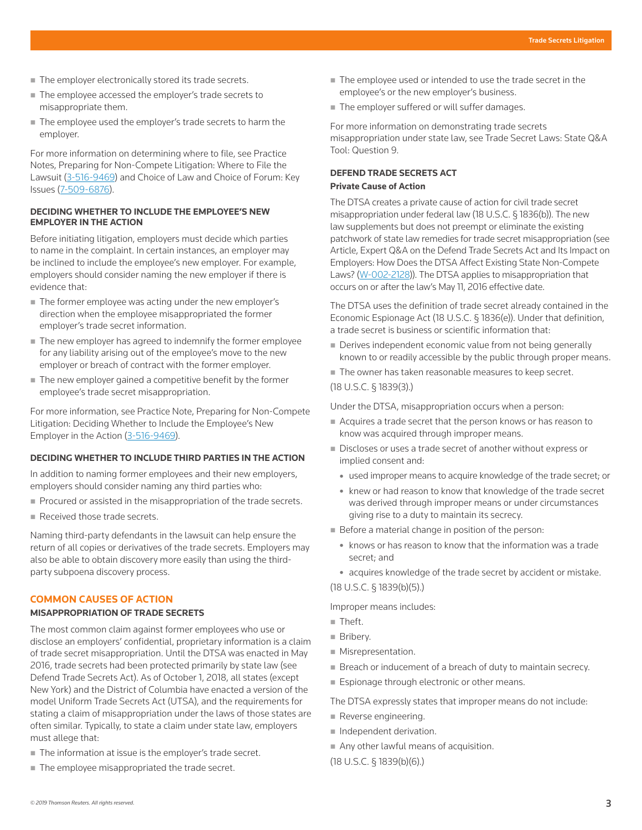- The employer electronically stored its trade secrets.
- The employee accessed the employer's trade secrets to misappropriate them.
- The employee used the employer's trade secrets to harm the employer.

For more information on determining where to file, see Practice Notes, Preparing for Non-Compete Litigation: Where to File the Lawsuit (3-516-9469) and Choice of Law and Choice of Forum: Key Issues (7-509-6876).

#### **DECIDING WHETHER TO INCLUDE THE EMPLOYEE'S NEW EMPLOYER IN THE ACTION**

Before initiating litigation, employers must decide which parties to name in the complaint. In certain instances, an employer may be inclined to include the employee's new employer. For example, employers should consider naming the new employer if there is evidence that:

- The former employee was acting under the new employer's direction when the employee misappropriated the former employer's trade secret information.
- The new employer has agreed to indemnify the former employee for any liability arising out of the employee's move to the new employer or breach of contract with the former employer.
- The new employer gained a competitive benefit by the former employee's trade secret misappropriation.

For more information, see Practice Note, Preparing for Non-Compete Litigation: Deciding Whether to Include the Employee's New Employer in the Action (3-516-9469).

# **DECIDING WHETHER TO INCLUDE THIRD PARTIES IN THE ACTION**

In addition to naming former employees and their new employers, employers should consider naming any third parties who:

- Procured or assisted in the misappropriation of the trade secrets.
- Received those trade secrets.

Naming third-party defendants in the lawsuit can help ensure the return of all copies or derivatives of the trade secrets. Employers may also be able to obtain discovery more easily than using the thirdparty subpoena discovery process.

#### **COMMON CAUSES OF ACTION**

#### **MISAPPROPRIATION OF TRADE SECRETS**

The most common claim against former employees who use or disclose an employers' confidential, proprietary information is a claim of trade secret misappropriation. Until the DTSA was enacted in May 2016, trade secrets had been protected primarily by state law (see Defend Trade Secrets Act). As of October 1, 2018, all states (except New York) and the District of Columbia have enacted a version of the model Uniform Trade Secrets Act (UTSA), and the requirements for stating a claim of misappropriation under the laws of those states are often similar. Typically, to state a claim under state law, employers must allege that:

- The information at issue is the employer's trade secret.
- The employee misappropriated the trade secret.
- The employee used or intended to use the trade secret in the employee's or the new employer's business.
- The employer suffered or will suffer damages.

For more information on demonstrating trade secrets misappropriation under state law, see Trade Secret Laws: State Q&A Tool: Question 9.

#### **DEFEND TRADE SECRETS ACT Private Cause of Action**

The DTSA creates a private cause of action for civil trade secret misappropriation under federal law (18 U.S.C. § 1836(b)). The new law supplements but does not preempt or eliminate the existing patchwork of state law remedies for trade secret misappropriation (see Article, Expert Q&A on the Defend Trade Secrets Act and Its Impact on Employers: How Does the DTSA Affect Existing State Non-Compete Laws? (W-002-2128)). The DTSA applies to misappropriation that occurs on or after the law's May 11, 2016 effective date.

The DTSA uses the definition of trade secret already contained in the Economic Espionage Act (18 U.S.C. § 1836(e)). Under that definition, a trade secret is business or scientific information that:

- Derives independent economic value from not being generally known to or readily accessible by the public through proper means.
- The owner has taken reasonable measures to keep secret.

(18 U.S.C. § 1839(3).)

Under the DTSA, misappropriation occurs when a person:

- Acquires a trade secret that the person knows or has reason to know was acquired through improper means.
- Discloses or uses a trade secret of another without express or implied consent and:
	- used improper means to acquire knowledge of the trade secret; or
	- knew or had reason to know that knowledge of the trade secret was derived through improper means or under circumstances giving rise to a duty to maintain its secrecy.
- Before a material change in position of the person:
	- $\bullet$  knows or has reason to know that the information was a trade secret; and
	- acquires knowledge of the trade secret by accident or mistake.

# (18 U.S.C. § 1839(b)(5).)

Improper means includes:

- $\blacksquare$  Theft.
- **Bribery.**
- **Misrepresentation.**
- Breach or inducement of a breach of duty to maintain secrecy.
- **Espionage through electronic or other means.**

The DTSA expressly states that improper means do not include:

- Reverse engineering.
- Independent derivation.
- Any other lawful means of acquisition.

(18 U.S.C. § 1839(b)(6).)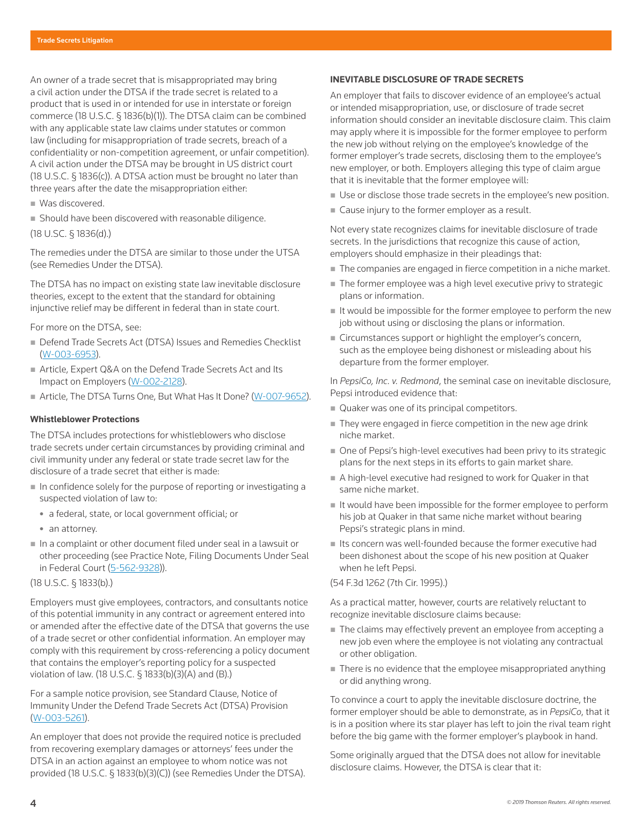An owner of a trade secret that is misappropriated may bring a civil action under the DTSA if the trade secret is related to a product that is used in or intended for use in interstate or foreign commerce (18 U.S.C. § 1836(b)(1)). The DTSA claim can be combined with any applicable state law claims under statutes or common law (including for misappropriation of trade secrets, breach of a confidentiality or non-competition agreement, or unfair competition). A civil action under the DTSA may be brought in US district court (18 U.S.C. § 1836(c)). A DTSA action must be brought no later than three years after the date the misappropriation either:

- Was discovered.
- Should have been discovered with reasonable diligence.

(18 U.SC. § 1836(d).)

The remedies under the DTSA are similar to those under the UTSA (see Remedies Under the DTSA).

The DTSA has no impact on existing state law inevitable disclosure theories, except to the extent that the standard for obtaining injunctive relief may be different in federal than in state court.

For more on the DTSA, see:

- Defend Trade Secrets Act (DTSA) Issues and Remedies Checklist (W-003-6953).
- Article, Expert Q&A on the Defend Trade Secrets Act and Its Impact on Employers (W-002-2128).
- Article, The DTSA Turns One, But What Has It Done? (W-007-9652).

#### **Whistleblower Protections**

The DTSA includes protections for whistleblowers who disclose trade secrets under certain circumstances by providing criminal and civil immunity under any federal or state trade secret law for the disclosure of a trade secret that either is made:

- $\blacksquare$  In confidence solely for the purpose of reporting or investigating a suspected violation of law to:
	- a federal, state, or local government official; or
	- an attorney.
- In a complaint or other document filed under seal in a lawsuit or other proceeding (see Practice Note, Filing Documents Under Seal in Federal Court (5-562-9328)).

(18 U.S.C. § 1833(b).)

Employers must give employees, contractors, and consultants notice of this potential immunity in any contract or agreement entered into or amended after the effective date of the DTSA that governs the use of a trade secret or other confidential information. An employer may comply with this requirement by cross-referencing a policy document that contains the employer's reporting policy for a suspected violation of law. (18 U.S.C. § 1833(b)(3)(A) and (B).)

For a sample notice provision, see Standard Clause, Notice of Immunity Under the Defend Trade Secrets Act (DTSA) Provision (W-003-5261).

An employer that does not provide the required notice is precluded from recovering exemplary damages or attorneys' fees under the DTSA in an action against an employee to whom notice was not provided (18 U.S.C. § 1833(b)(3)(C)) (see Remedies Under the DTSA).

#### **INEVITABLE DISCLOSURE OF TRADE SECRETS**

An employer that fails to discover evidence of an employee's actual or intended misappropriation, use, or disclosure of trade secret information should consider an inevitable disclosure claim. This claim may apply where it is impossible for the former employee to perform the new job without relying on the employee's knowledge of the former employer's trade secrets, disclosing them to the employee's new employer, or both. Employers alleging this type of claim argue that it is inevitable that the former employee will:

- Use or disclose those trade secrets in the employee's new position.
- Cause injury to the former employer as a result.

Not every state recognizes claims for inevitable disclosure of trade secrets. In the jurisdictions that recognize this cause of action, employers should emphasize in their pleadings that:

- The companies are engaged in fierce competition in a niche market.
- The former employee was a high level executive privy to strategic plans or information.
- It would be impossible for the former employee to perform the new job without using or disclosing the plans or information.
- Circumstances support or highlight the employer's concern, such as the employee being dishonest or misleading about his departure from the former employer.

In *PepsiCo, Inc. v. Redmond*, the seminal case on inevitable disclosure, Pepsi introduced evidence that:

- Quaker was one of its principal competitors.
- They were engaged in fierce competition in the new age drink niche market.
- One of Pepsi's high-level executives had been privy to its strategic plans for the next steps in its efforts to gain market share.
- A high-level executive had resigned to work for Quaker in that same niche market.
- If would have been impossible for the former employee to perform his job at Quaker in that same niche market without bearing Pepsi's strategic plans in mind.
- $\blacksquare$  Its concern was well-founded because the former executive had been dishonest about the scope of his new position at Quaker when he left Pepsi.

(54 F.3d 1262 (7th Cir. 1995).)

As a practical matter, however, courts are relatively reluctant to recognize inevitable disclosure claims because:

- The claims may effectively prevent an employee from accepting a new job even where the employee is not violating any contractual or other obligation.
- There is no evidence that the employee misappropriated anything or did anything wrong.

To convince a court to apply the inevitable disclosure doctrine, the former employer should be able to demonstrate, as in *PepsiCo*, that it is in a position where its star player has left to join the rival team right before the big game with the former employer's playbook in hand.

Some originally argued that the DTSA does not allow for inevitable disclosure claims. However, the DTSA is clear that it: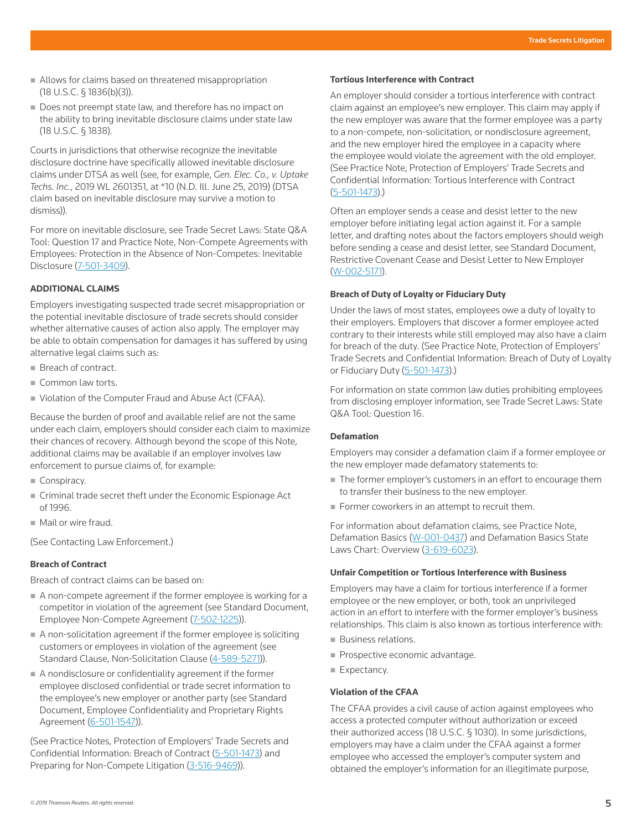- Allows for claims based on threatened misappropriation (18 U.S.C. § 1836(b)(3)).
- Does not preempt state law, and therefore has no impact on the ability to bring inevitable disclosure claims under state law (18 U.S.C. § 1838).

Courts in jurisdictions that otherwise recognize the inevitable disclosure doctrine have specifically allowed inevitable disclosure claims under DTSA as well (see, for example, *Gen. Elec. Co., v. Uptake Techs. Inc.*, 2019 WL 2601351, at \*10 (N.D. Ill. June 25, 2019) (DTSA claim based on inevitable disclosure may survive a motion to dismiss)).

For more on inevitable disclosure, see Trade Secret Laws: State Q&A Tool: Question 17 and Practice Note, Non-Compete Agreements with Employees: Protection in the Absence of Non-Competes: Inevitable Disclosure (7-501-3409).

#### **ADDITIONAL CLAIMS**

Employers investigating suspected trade secret misappropriation or the potential inevitable disclosure of trade secrets should consider whether alternative causes of action also apply. The employer may be able to obtain compensation for damages it has suffered by using alternative legal claims such as:

- Breach of contract.
- Common law torts.
- Violation of the Computer Fraud and Abuse Act (CFAA).

Because the burden of proof and available relief are not the same under each claim, employers should consider each claim to maximize their chances of recovery. Although beyond the scope of this Note, additional claims may be available if an employer involves law enforcement to pursue claims of, for example:

- Conspiracy.
- Criminal trade secret theft under the Economic Espionage Act of 1996.
- $\blacksquare$  Mail or wire fraud.

(See Contacting Law Enforcement.)

#### **Breach of Contract**

Breach of contract claims can be based on:

- A non-compete agreement if the former employee is working for a competitor in violation of the agreement (see Standard Document, Employee Non-Compete Agreement (7-502-1225)).
- A non-solicitation agreement if the former employee is soliciting customers or employees in violation of the agreement (see Standard Clause, Non-Solicitation Clause (4-589-5271)).
- A nondisclosure or confidentiality agreement if the former employee disclosed confidential or trade secret information to the employee's new employer or another party (see Standard Document, Employee Confidentiality and Proprietary Rights Agreement (6-501-1547)).

(See Practice Notes, Protection of Employers' Trade Secrets and Confidential Information: Breach of Contract (5-501-1473) and Preparing for Non-Compete Litigation (3-516-9469)).

# **Tortious Interference with Contract**

An employer should consider a tortious interference with contract claim against an employee's new employer. This claim may apply if the new employer was aware that the former employee was a party to a non-compete, non-solicitation, or nondisclosure agreement, and the new employer hired the employee in a capacity where the employee would violate the agreement with the old employer. (See Practice Note, Protection of Employers' Trade Secrets and Confidential Information: Tortious Interference with Contract (5-501-1473).)

Often an employer sends a cease and desist letter to the new employer before initiating legal action against it. For a sample letter, and drafting notes about the factors employers should weigh before sending a cease and desist letter, see Standard Document, Restrictive Covenant Cease and Desist Letter to New Employer (W-002-5171).

#### **Breach of Duty of Loyalty or Fiduciary Duty**

Under the laws of most states, employees owe a duty of loyalty to their employers. Employers that discover a former employee acted contrary to their interests while still employed may also have a claim for breach of the duty. (See Practice Note, Protection of Employers' Trade Secrets and Confidential Information: Breach of Duty of Loyalty or Fiduciary Duty (5-501-1473).)

For information on state common law duties prohibiting employees from disclosing employer information, see Trade Secret Laws: State Q&A Tool: Question 16.

#### **Defamation**

Employers may consider a defamation claim if a former employee or the new employer made defamatory statements to:

- The former employer's customers in an effort to encourage them to transfer their business to the new employer.
- Former coworkers in an attempt to recruit them.

For information about defamation claims, see Practice Note, Defamation Basics (W-001-0437) and Defamation Basics State Laws Chart: Overview (3-619-6023).

#### **Unfair Competition or Tortious Interference with Business**

Employers may have a claim for tortious interference if a former employee or the new employer, or both, took an unprivileged action in an effort to interfere with the former employer's business relationships. This claim is also known as tortious interference with:

- **Business relations.**
- **Prospective economic advantage.**
- Expectancy.

#### **Violation of the CFAA**

The CFAA provides a civil cause of action against employees who access a protected computer without authorization or exceed their authorized access (18 U.S.C. § 1030). In some jurisdictions, employers may have a claim under the CFAA against a former employee who accessed the employer's computer system and obtained the employer's information for an illegitimate purpose,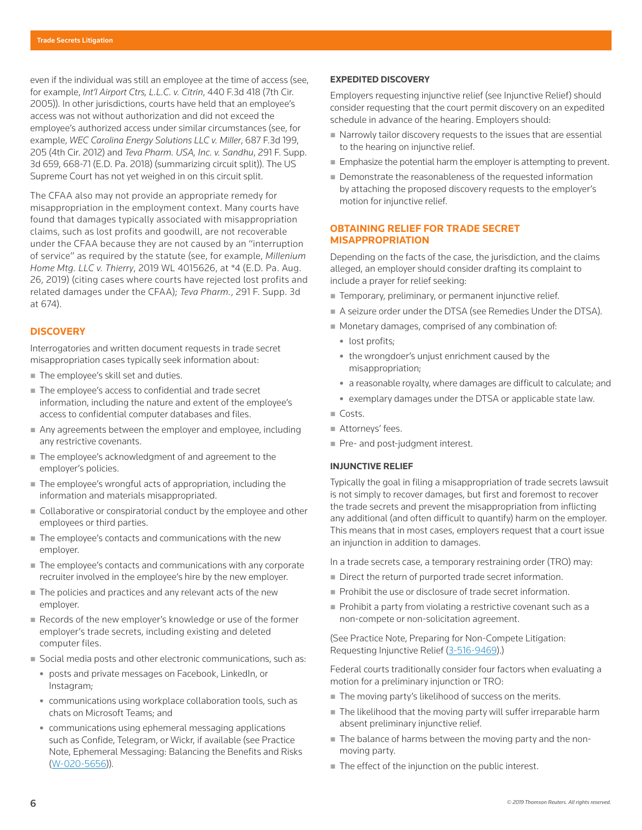even if the individual was still an employee at the time of access (see, for example, *Int'l Airport Ctrs, L.L.C. v. Citrin*, 440 F.3d 418 (7th Cir. 2005)). In other jurisdictions, courts have held that an employee's access was not without authorization and did not exceed the employee's authorized access under similar circumstances (see, for example, *WEC Carolina Energy Solutions LLC v. Miller*, 687 F.3d 199, 205 (4th Cir. 2012) and *Teva Pharm. USA, Inc. v. Sandhu*, 291 F. Supp. 3d 659, 668-71 (E.D. Pa. 2018) (summarizing circuit split)). The US Supreme Court has not yet weighed in on this circuit split.

The CFAA also may not provide an appropriate remedy for misappropriation in the employment context. Many courts have found that damages typically associated with misappropriation claims, such as lost profits and goodwill, are not recoverable under the CFAA because they are not caused by an "interruption of service" as required by the statute (see, for example, *Millenium Home Mtg. LLC v. Thierry*, 2019 WL 4015626, at \*4 (E.D. Pa. Aug. 26, 2019) (citing cases where courts have rejected lost profits and related damages under the CFAA); *Teva Pharm.*, 291 F. Supp. 3d at 674).

#### **DISCOVERY**

Interrogatories and written document requests in trade secret misappropriation cases typically seek information about:

- The employee's skill set and duties.
- The employee's access to confidential and trade secret information, including the nature and extent of the employee's access to confidential computer databases and files.
- Any agreements between the employer and employee, including any restrictive covenants.
- The employee's acknowledgment of and agreement to the employer's policies.
- The employee's wrongful acts of appropriation, including the information and materials misappropriated.
- Collaborative or conspiratorial conduct by the employee and other employees or third parties.
- The employee's contacts and communications with the new employer.
- The employee's contacts and communications with any corporate recruiter involved in the employee's hire by the new employer.
- The policies and practices and any relevant acts of the new employer.
- Records of the new employer's knowledge or use of the former employer's trade secrets, including existing and deleted computer files.
- Social media posts and other electronic communications, such as:
	- posts and private messages on Facebook, LinkedIn, or Instagram;
	- communications using workplace collaboration tools, such as chats on Microsoft Teams; and
	- communications using ephemeral messaging applications such as Confide, Telegram, or Wickr, if available (see Practice Note, Ephemeral Messaging: Balancing the Benefits and Risks (W-020-5656)).

#### **EXPEDITED DISCOVERY**

Employers requesting injunctive relief (see Injunctive Relief) should consider requesting that the court permit discovery on an expedited schedule in advance of the hearing. Employers should:

- Narrowly tailor discovery requests to the issues that are essential to the hearing on injunctive relief.
- **Emphasize the potential harm the employer is attempting to prevent.**
- Demonstrate the reasonableness of the requested information by attaching the proposed discovery requests to the employer's motion for injunctive relief.

#### **OBTAINING RELIEF FOR TRADE SECRET MISAPPROPRIATION**

Depending on the facts of the case, the jurisdiction, and the claims alleged, an employer should consider drafting its complaint to include a prayer for relief seeking:

- Temporary, preliminary, or permanent injunctive relief.
- A seizure order under the DTSA (see Remedies Under the DTSA).
- **Monetary damages, comprised of any combination of:** 
	- lost profits;
	- the wrongdoer's unjust enrichment caused by the misappropriation;
	- a reasonable royalty, where damages are difficult to calculate; and
	- exemplary damages under the DTSA or applicable state law.
- Costs.
	- Attorneys' fees.
	- Pre- and post-judgment interest.

## **INJUNCTIVE RELIEF**

Typically the goal in filing a misappropriation of trade secrets lawsuit is not simply to recover damages, but first and foremost to recover the trade secrets and prevent the misappropriation from inflicting any additional (and often difficult to quantify) harm on the employer. This means that in most cases, employers request that a court issue an injunction in addition to damages.

In a trade secrets case, a temporary restraining order (TRO) may:

- Direct the return of purported trade secret information.
- Prohibit the use or disclosure of trade secret information.
- **Prohibit a party from violating a restrictive covenant such as a** non-compete or non-solicitation agreement.

(See Practice Note, Preparing for Non-Compete Litigation: Requesting Injunctive Relief (3-516-9469).)

Federal courts traditionally consider four factors when evaluating a motion for a preliminary injunction or TRO:

- The moving party's likelihood of success on the merits.
- The likelihood that the moving party will suffer irreparable harm absent preliminary injunctive relief.
- The balance of harms between the moving party and the nonmoving party.
- The effect of the injunction on the public interest.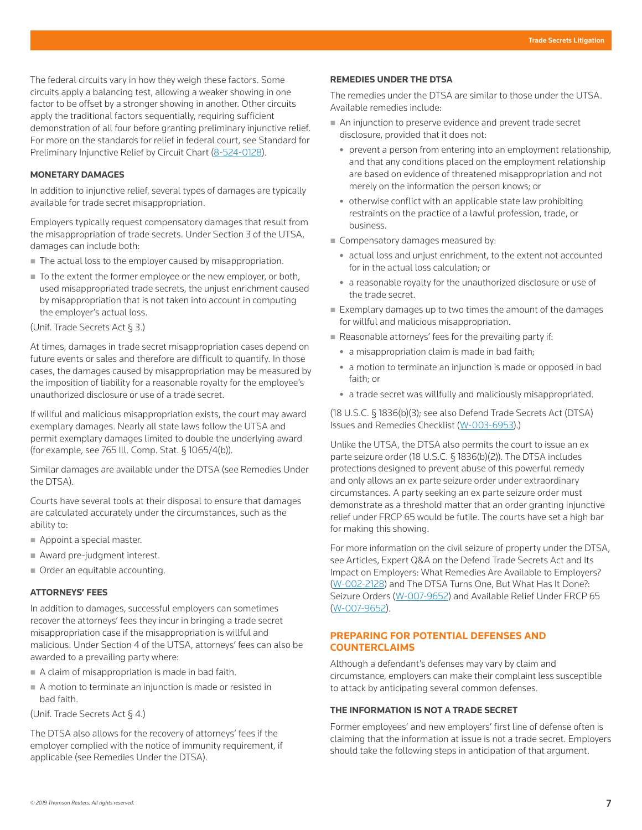The federal circuits vary in how they weigh these factors. Some circuits apply a balancing test, allowing a weaker showing in one factor to be offset by a stronger showing in another. Other circuits apply the traditional factors sequentially, requiring sufficient demonstration of all four before granting preliminary injunctive relief. For more on the standards for relief in federal court, see Standard for Preliminary Injunctive Relief by Circuit Chart (8-524-0128).

#### **MONETARY DAMAGES**

In addition to injunctive relief, several types of damages are typically available for trade secret misappropriation.

Employers typically request compensatory damages that result from the misappropriation of trade secrets. Under Section 3 of the UTSA, damages can include both:

- The actual loss to the employer caused by misappropriation.
- To the extent the former employee or the new employer, or both, used misappropriated trade secrets, the unjust enrichment caused by misappropriation that is not taken into account in computing the employer's actual loss.

(Unif. Trade Secrets Act § 3.)

At times, damages in trade secret misappropriation cases depend on future events or sales and therefore are difficult to quantify. In those cases, the damages caused by misappropriation may be measured by the imposition of liability for a reasonable royalty for the employee's unauthorized disclosure or use of a trade secret.

If willful and malicious misappropriation exists, the court may award exemplary damages. Nearly all state laws follow the UTSA and permit exemplary damages limited to double the underlying award (for example, see 765 Ill. Comp. Stat. § 1065/4(b)).

Similar damages are available under the DTSA (see Remedies Under the DTSA).

Courts have several tools at their disposal to ensure that damages are calculated accurately under the circumstances, such as the ability to:

- Appoint a special master.
- Award pre-judgment interest.
- Order an equitable accounting.

#### **ATTORNEYS' FEES**

In addition to damages, successful employers can sometimes recover the attorneys' fees they incur in bringing a trade secret misappropriation case if the misappropriation is willful and malicious. Under Section 4 of the UTSA, attorneys' fees can also be awarded to a prevailing party where:

- A claim of misappropriation is made in bad faith.
- A motion to terminate an injunction is made or resisted in bad faith.
- (Unif. Trade Secrets Act § 4.)

The DTSA also allows for the recovery of attorneys' fees if the employer complied with the notice of immunity requirement, if applicable (see Remedies Under the DTSA).

#### **REMEDIES UNDER THE DTSA**

The remedies under the DTSA are similar to those under the UTSA. Available remedies include:

- An injunction to preserve evidence and prevent trade secret disclosure, provided that it does not:
	- prevent a person from entering into an employment relationship, and that any conditions placed on the employment relationship are based on evidence of threatened misappropriation and not merely on the information the person knows; or
	- otherwise conflict with an applicable state law prohibiting restraints on the practice of a lawful profession, trade, or business.
- Compensatory damages measured by:
	- actual loss and unjust enrichment, to the extent not accounted for in the actual loss calculation; or
	- a reasonable royalty for the unauthorized disclosure or use of the trade secret.
- $\blacksquare$  Exemplary damages up to two times the amount of the damages for willful and malicious misappropriation.
- Reasonable attorneys' fees for the prevailing party if:
	- a misappropriation claim is made in bad faith;
	- a motion to terminate an injunction is made or opposed in bad faith; or
	- a trade secret was willfully and maliciously misappropriated.

(18 U.S.C. § 1836(b)(3); see also Defend Trade Secrets Act (DTSA) Issues and Remedies Checklist (W-003-6953).)

Unlike the UTSA, the DTSA also permits the court to issue an ex parte seizure order (18 U.S.C. § 1836(b)(2)). The DTSA includes protections designed to prevent abuse of this powerful remedy and only allows an ex parte seizure order under extraordinary circumstances. A party seeking an ex parte seizure order must demonstrate as a threshold matter that an order granting injunctive relief under FRCP 65 would be futile. The courts have set a high bar for making this showing.

For more information on the civil seizure of property under the DTSA, see Articles, Expert Q&A on the Defend Trade Secrets Act and Its Impact on Employers: What Remedies Are Available to Employers? (W-002-2128) and The DTSA Turns One, But What Has It Done?: Seizure Orders (W-007-9652) and Available Relief Under FRCP 65 (W-007-9652).

#### **PREPARING FOR POTENTIAL DEFENSES AND COUNTERCLAIMS**

Although a defendant's defenses may vary by claim and circumstance, employers can make their complaint less susceptible to attack by anticipating several common defenses.

#### **THE INFORMATION IS NOT A TRADE SECRET**

Former employees' and new employers' first line of defense often is claiming that the information at issue is not a trade secret. Employers should take the following steps in anticipation of that argument.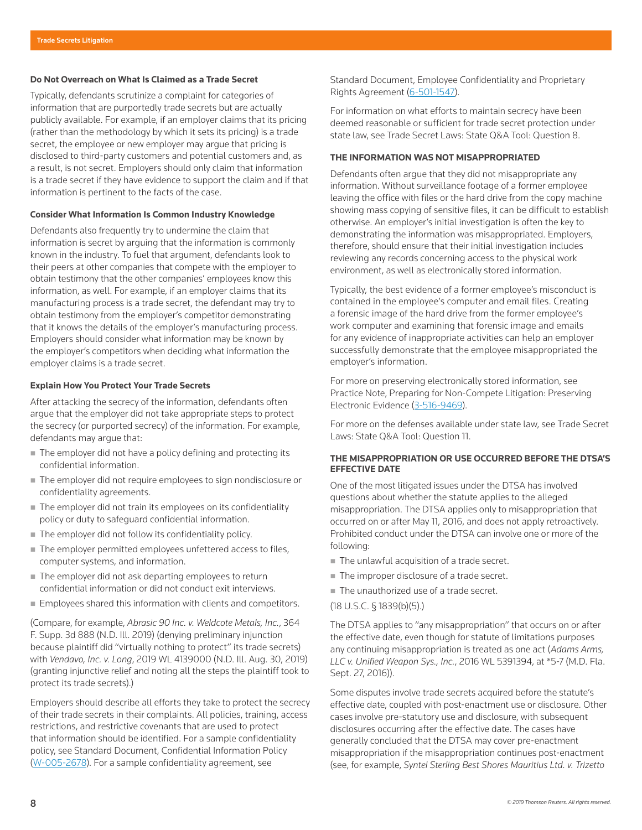#### **Do Not Overreach on What Is Claimed as a Trade Secret**

Typically, defendants scrutinize a complaint for categories of information that are purportedly trade secrets but are actually publicly available. For example, if an employer claims that its pricing (rather than the methodology by which it sets its pricing) is a trade secret, the employee or new employer may argue that pricing is disclosed to third-party customers and potential customers and, as a result, is not secret. Employers should only claim that information is a trade secret if they have evidence to support the claim and if that information is pertinent to the facts of the case.

#### **Consider What Information Is Common Industry Knowledge**

Defendants also frequently try to undermine the claim that information is secret by arguing that the information is commonly known in the industry. To fuel that argument, defendants look to their peers at other companies that compete with the employer to obtain testimony that the other companies' employees know this information, as well. For example, if an employer claims that its manufacturing process is a trade secret, the defendant may try to obtain testimony from the employer's competitor demonstrating that it knows the details of the employer's manufacturing process. Employers should consider what information may be known by the employer's competitors when deciding what information the employer claims is a trade secret.

#### **Explain How You Protect Your Trade Secrets**

After attacking the secrecy of the information, defendants often argue that the employer did not take appropriate steps to protect the secrecy (or purported secrecy) of the information. For example, defendants may argue that:

- The employer did not have a policy defining and protecting its confidential information.
- The employer did not require employees to sign nondisclosure or confidentiality agreements.
- The employer did not train its employees on its confidentiality policy or duty to safeguard confidential information.
- The employer did not follow its confidentiality policy.
- The employer permitted employees unfettered access to files, computer systems, and information.
- The employer did not ask departing employees to return confidential information or did not conduct exit interviews.
- **Employees shared this information with clients and competitors.**

(Compare, for example, *Abrasic 90 Inc. v. Weldcote Metals, Inc.*, 364 F. Supp. 3d 888 (N.D. Ill. 2019) (denying preliminary injunction because plaintiff did "virtually nothing to protect" its trade secrets) with *Vendavo, Inc. v. Long*, 2019 WL 4139000 (N.D. Ill. Aug. 30, 2019) (granting injunctive relief and noting all the steps the plaintiff took to protect its trade secrets).)

Employers should describe all efforts they take to protect the secrecy of their trade secrets in their complaints. All policies, training, access restrictions, and restrictive covenants that are used to protect that information should be identified. For a sample confidentiality policy, see Standard Document, Confidential Information Policy (W-005-2678). For a sample confidentiality agreement, see

Standard Document, Employee Confidentiality and Proprietary Rights Agreement (6-501-1547).

For information on what efforts to maintain secrecy have been deemed reasonable or sufficient for trade secret protection under state law, see Trade Secret Laws: State Q&A Tool: Question 8.

#### **THE INFORMATION WAS NOT MISAPPROPRIATED**

Defendants often argue that they did not misappropriate any information. Without surveillance footage of a former employee leaving the office with files or the hard drive from the copy machine showing mass copying of sensitive files, it can be difficult to establish otherwise. An employer's initial investigation is often the key to demonstrating the information was misappropriated. Employers, therefore, should ensure that their initial investigation includes reviewing any records concerning access to the physical work environment, as well as electronically stored information.

Typically, the best evidence of a former employee's misconduct is contained in the employee's computer and email files. Creating a forensic image of the hard drive from the former employee's work computer and examining that forensic image and emails for any evidence of inappropriate activities can help an employer successfully demonstrate that the employee misappropriated the employer's information.

For more on preserving electronically stored information, see Practice Note, Preparing for Non-Compete Litigation: Preserving Electronic Evidence (3-516-9469).

For more on the defenses available under state law, see Trade Secret Laws: State Q&A Tool: Question 11.

#### **THE MISAPPROPRIATION OR USE OCCURRED BEFORE THE DTSA'S EFFECTIVE DATE**

One of the most litigated issues under the DTSA has involved questions about whether the statute applies to the alleged misappropriation. The DTSA applies only to misappropriation that occurred on or after May 11, 2016, and does not apply retroactively. Prohibited conduct under the DTSA can involve one or more of the following:

- The unlawful acquisition of a trade secret.
- The improper disclosure of a trade secret.
- The unauthorized use of a trade secret.
- (18 U.S.C. § 1839(b)(5).)

The DTSA applies to "any misappropriation" that occurs on or after the effective date, even though for statute of limitations purposes any continuing misappropriation is treated as one act (*Adams Arms, LLC v. Unified Weapon Sys., Inc.*, 2016 WL 5391394, at \*5-7 (M.D. Fla. Sept. 27, 2016)).

Some disputes involve trade secrets acquired before the statute's effective date, coupled with post-enactment use or disclosure. Other cases involve pre-statutory use and disclosure, with subsequent disclosures occurring after the effective date. The cases have generally concluded that the DTSA may cover pre-enactment misappropriation if the misappropriation continues post-enactment (see, for example, *Syntel Sterling Best Shores Mauritius Ltd. v. Trizetto*